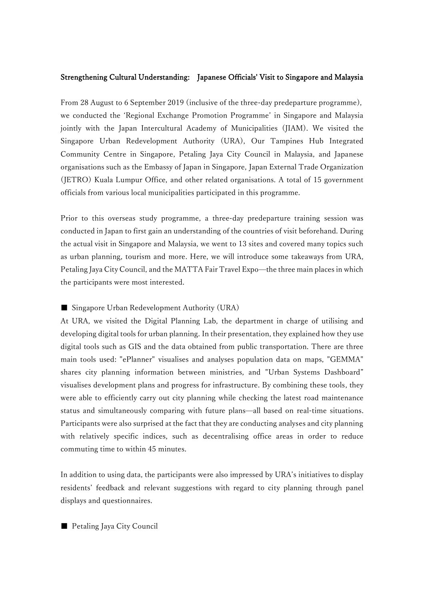## Strengthening Cultural Understanding: Japanese Officials' Visit to Singapore and Malaysia

From 28 August to 6 September 2019 (inclusive of the three-day predeparture programme), we conducted the 'Regional Exchange Promotion Programme' in Singapore and Malaysia jointly with the Japan Intercultural Academy of Municipalities (JIAM). We visited the Singapore Urban Redevelopment Authority (URA), Our Tampines Hub Integrated Community Centre in Singapore, Petaling Jaya City Council in Malaysia, and Japanese organisations such as the Embassy of Japan in Singapore, Japan External Trade Organization (JETRO) Kuala Lumpur Office, and other related organisations. A total of 15 government officials from various local municipalities participated in this programme.

Prior to this overseas study programme, a three-day predeparture training session was conducted in Japan to first gain an understanding of the countries of visit beforehand. During the actual visit in Singapore and Malaysia, we went to 13 sites and covered many topics such as urban planning, tourism and more. Here, we will introduce some takeaways from URA, Petaling Jaya City Council, and the MATTA Fair Travel Expo—the three main places in which the participants were most interested.

## ■ Singapore Urban Redevelopment Authority (URA)

At URA, we visited the Digital Planning Lab, the department in charge of utilising and developing digital tools for urban planning. In their presentation, they explained how they use digital tools such as GIS and the data obtained from public transportation. There are three main tools used: "ePlanner" visualises and analyses population data on maps, "GEMMA" shares city planning information between ministries, and "Urban Systems Dashboard" visualises development plans and progress for infrastructure. By combining these tools, they were able to efficiently carry out city planning while checking the latest road maintenance status and simultaneously comparing with future plans—all based on real-time situations. Participants were also surprised at the fact that they are conducting analyses and city planning with relatively specific indices, such as decentralising office areas in order to reduce commuting time to within 45 minutes.

In addition to using data, the participants were also impressed by URA's initiatives to display residents' feedback and relevant suggestions with regard to city planning through panel displays and questionnaires.

■ Petaling Jaya City Council